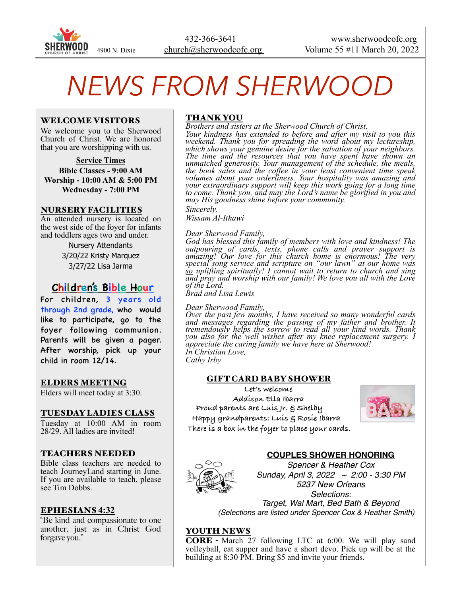

# *NEWS FROM SHERWOOD*

#### WELCOME VISITORS

We welcome you to the Sherwood Church of Christ. We are honored that you are worshipping with us.

**Service Times Bible Classes - 9:00 AM Worship - 10:00 AM & 5:00 PM Wednesday - 7:00 PM**

#### NURSERY FACILITIES

An attended nursery is located on the west side of the foyer for infants and toddlers ages two and under.

> Nursery Attendants 3/20/22 Kristy Marquez 3/27/22 Lisa Jarma

# **Children's Bible Hour**

For children, 3 years old through 2nd grade, who would like to participate, go to the foyer following communion. Parents will be given a pager. After worship, pick up your child in room 12/14.

#### ELDERS MEETING

Elders will meet today at 3:30.

#### TUESDAY LADIES CLASS

Tuesday at 10:00 AM in room 28/29. All ladies are invited!

#### TEACHERS NEEDED

Bible class teachers are needed to teach JourneyLand starting in June. If you are available to teach, please see Tim Dobbs.

#### EPHESIANS **4:32**

"Be kind and compassionate to one another, just as in Christ God forgave you."

### THANK YOU

*Brothers and sisters at the Sherwood Church of Christ, Your kindness has extended to before and after my visit to you this weekend. Thank you for spreading the word about my lectureship, which shows your genuine desire for the salvation of your neighbors. The time and the resources that you have spent have shown an unmatched generosity. Your management of the schedule, the meals, the book sales and the coffee in your least convenient time speak volumes about your orderliness. Your hospitality was amazing and your extraordinary support will keep this work going for a long time to come. Thank you, and may the Lord's name be glorified in you and may His goodness shine before your community. Sincerely,*

*Wissam Al-Ithawi*

#### *Dear Sherwood Family,*

*God has blessed this family of members with love and kindness! The outpouring of cards, texts, phone calls and prayer support is amazing! Our love for this church home is enormous! The very special song service and scripture on "our lawn" at our home was so uplifting spiritually! I cannot wait to return to church and sing and pray and worship with our family! We love you all with the Love of the Lord.*

*Brad and Lisa Lewis*

#### *Dear Sherwood Family,*

*Over the past few months, I have received so many wonderful cards and messages regarding the passing of my father and brother. It tremendously helps the sorrow to read all your kind words. Thank you also for the well wishes after my knee replacement surgery. I appreciate the caring family we have here at Sherwood! In Christian Love,*

*Cathy Irby*

## GIFT CARD BABY SHOWER

**Let's welcome Addison Ella Ibarra Proud parents are Luis Jr. & Shelby Happy grandparents: Luis & Rosie Ibarra There is a box in the foyer to place your cards.**



#### **COUPLES SHOWER HONORING**



*Spencer & Heather Cox Sunday, April 3, 2022 ~ 2:00 - 3:30 PM 5237 New Orleans Selections: Target, Wal Mart, Bed Bath & Beyond (Selections are listed under Spencer Cox & Heather Smith)*

## YOUTH NEWS

CORE - March 27 following LTC at 6:00. We will play sand volleyball, eat supper and have a short devo. Pick up will be at the building at 8:30 PM. Bring \$5 and invite your friends.